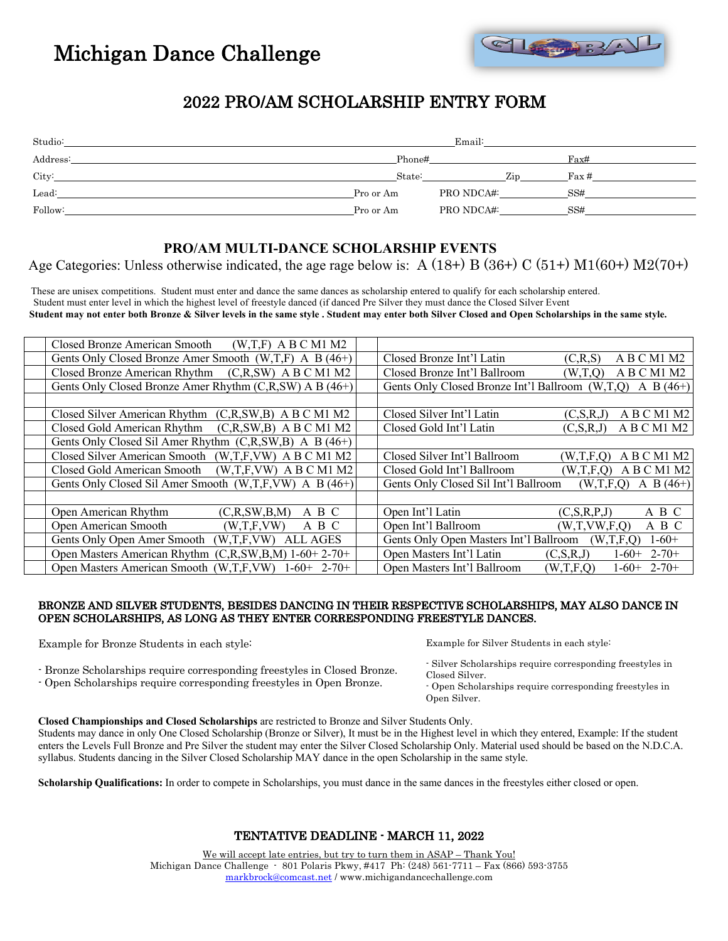

## 2022 PRO/AM SCHOLARSHIP ENTRY FORM

| Studio:  |           | Email:     |                  |
|----------|-----------|------------|------------------|
| Address: | Phone#    |            | Fax#             |
| City:    | State:    | Zip        | $\text{Fax}\,\#$ |
| Lead:    | Pro or Am | PRO NDCA#: | SS#              |
| Follow:  | Pro or Am | PRO NDCA#: | SS#              |

### **PRO/AM MULTI-DANCE SCHOLARSHIP EVENTS**

Age Categories: Unless otherwise indicated, the age rage below is: A  $(18+)$  B  $(36+)$  C  $(51+)$  M1 $(60+)$  M2 $(70+)$ 

 These are unisex competitions. Student must enter and dance the same dances as scholarship entered to qualify for each scholarship entered. Student must enter level in which the highest level of freestyle danced (if danced Pre Silver they must dance the Closed Silver Event  **Student may not enter both Bronze & Silver levels in the same style . Student may enter both Silver Closed and Open Scholarships in the same style.**

| Closed Bronze American Smooth<br>$(W,T,F)$ A B C M1 M2           |                                                                      |  |  |  |
|------------------------------------------------------------------|----------------------------------------------------------------------|--|--|--|
| Gents Only Closed Bronze Amer Smooth $(W,T,F)$ A B $(46+)$       | Closed Bronze Int'l Latin<br>A B C M1 M2<br>(C,R,S)                  |  |  |  |
| Closed Bronze American Rhythm<br>$(C, R, SW)$ A B C M1 M2        | Closed Bronze Int'l Ballroom<br>A B C M1 M2<br>(W.T.O)               |  |  |  |
| Gents Only Closed Bronze Amer Rhythm (C,R,SW) A B (46+)          | Gents Only Closed Bronze Int'l Ballroom (W,T,Q)<br>A B $(46+)$       |  |  |  |
|                                                                  |                                                                      |  |  |  |
| Closed Silver American Rhythm<br>$(C,R,SW,B)$ A B C M1 M2        | A B C M1 M2<br>Closed Silver Int'l Latin<br>(C, S, R, J)             |  |  |  |
| Closed Gold American Rhythm<br>$(C, R, SW, B)$ A B C M1 M2       | Closed Gold Int'l Latin<br>A B C M1 M2<br>(C, S, R, J)               |  |  |  |
| Gents Only Closed Sil Amer Rhythm (C,R,SW,B) A B (46+)           |                                                                      |  |  |  |
| Closed Silver American Smooth (W.T.F.VW) A B C M1 M2             | A B C M1 M2<br>Closed Silver Int'l Ballroom<br>(W,T,F,O)             |  |  |  |
| Closed Gold American Smooth<br>$(W,T,F,VW)$ A B C M1 M2          | A B C M1 M2<br>Closed Gold Int'l Ballroom<br>(W,T,F,O)               |  |  |  |
| Gents Only Closed Sil Amer Smooth (W,T,F,VW) A B (46+)           | Gents Only Closed Sil Int'l Ballroom<br>A B $(46+)$<br>(W,T,F,O)     |  |  |  |
|                                                                  |                                                                      |  |  |  |
| Open American Rhythm<br>(C, R, SW, B, M)<br>A B C                | Open Int'l Latin<br>A B C<br>(C, S, R, P, J)                         |  |  |  |
| Open American Smooth<br>(W, T, F, VW)<br>A B C                   | Open Int'l Ballroom<br>A B C<br>(W,T,VW,F,Q)                         |  |  |  |
| Gents Only Open Amer Smooth<br><b>ALL AGES</b><br>(W,T,F,VW)     | $1-60+$<br>Gents Only Open Masters Int'l Ballroom<br>(W,T,F,Q)       |  |  |  |
| Open Masters American Rhythm $(C, R, SW, B, M)$ 1-60+ 2-70+      | Open Masters Int'l Latin<br>$2 - 70 +$<br>(C, S, R, J)<br>$1 - 60 +$ |  |  |  |
| Open Masters American Smooth (W,T,F,VW)<br>$2 - 70 +$<br>$1-60+$ | Open Masters Int'l Ballroom<br>$2 - 70 +$<br>(W.T.F.O)<br>$1 - 60 +$ |  |  |  |

#### BRONZE AND SILVER STUDENTS, BESIDES DANCING IN THEIR RESPECTIVE SCHOLARSHIPS, MAY ALSO DANCE IN OPEN SCHOLARSHIPS, AS LONG AS THEY ENTER CORRESPONDING FREESTYLE DANCES.

Example for Bronze Students in each style:

Example for Silver Students in each style:

- Silver Scholarships require corresponding freestyles in Closed Silver.

- Open Scholarships require corresponding freestyles in Open Silver.

- Bronze Scholarships require corresponding freestyles in Closed Bronze. - Open Scholarships require corresponding freestyles in Open Bronze.

Students may dance in only One Closed Scholarship (Bronze or Silver), It must be in the Highest level in which they entered, Example: If the student enters the Levels Full Bronze and Pre Silver the student may enter the Silver Closed Scholarship Only. Material used should be based on the N.D.C.A. syllabus. Students dancing in the Silver Closed Scholarship MAY dance in the open Scholarship in the same style.

**Scholarship Qualifications:** In order to compete in Scholarships, you must dance in the same dances in the freestyles either closed or open.

### TENTATIVE DEADLINE - MARCH 11, 2022

We will accept late entries, but try to turn them in ASAP – Thank You! Michigan Dance Challenge - 801 Polaris Pkwy, #417 Ph: (248) 561-7711 – Fax (866) 593-3755 markbrock@comcast.net / www.michigandancechallenge.com

#### **Closed Championships and Closed Scholarships** are restricted to Bronze and Silver Students Only.